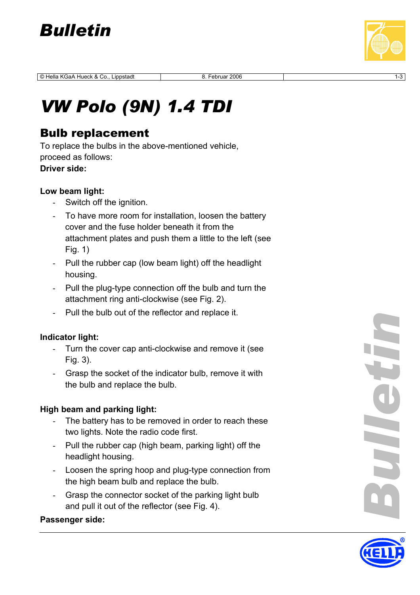

© Hella KGaA Hueck & Co., Lippstadt 8. Februar 2006 1-3

# *VW Polo (9N) 1.4 TDI*

## Bulb replacement

To replace the bulbs in the above-mentioned vehicle, proceed as follows: **Driver side:** 

#### **Low beam light:**

- Switch off the ignition.
- To have more room for installation, loosen the battery cover and the fuse holder beneath it from the attachment plates and push them a little to the left (see Fig. 1)
- Pull the rubber cap (low beam light) off the headlight housing.
- Pull the plug-type connection off the bulb and turn the attachment ring anti-clockwise (see Fig. 2).
- Pull the bulb out of the reflector and replace it.

#### **Indicator light:**

- Turn the cover cap anti-clockwise and remove it (see Fig. 3).
- Grasp the socket of the indicator bulb, remove it with the bulb and replace the bulb.

#### **High beam and parking light:**

- The battery has to be removed in order to reach these two lights. Note the radio code first.
- Pull the rubber cap (high beam, parking light) off the headlight housing.
- Loosen the spring hoop and plug-type connection from the high beam bulb and replace the bulb.
- Grasp the connector socket of the parking light bulb and pull it out of the reflector (see Fig. 4).

#### **Passenger side:**

*Bulletin* Heth

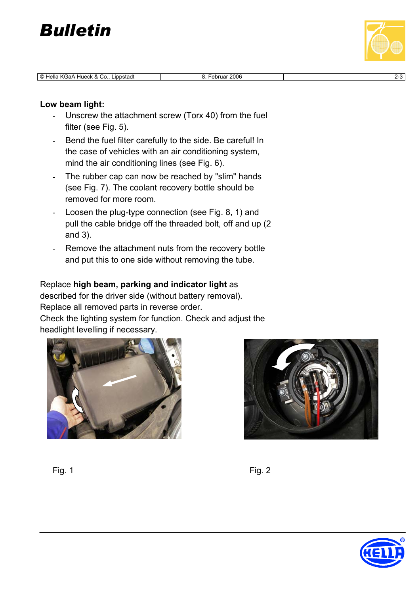

© Hella KGaA Hueck & Co., Lippstadt 8. Februar 2006



#### **Low beam light:**

- Unscrew the attachment screw (Torx 40) from the fuel filter (see Fig. 5).
- Bend the fuel filter carefully to the side. Be careful! In the case of vehicles with an air conditioning system, mind the air conditioning lines (see Fig. 6).
- The rubber cap can now be reached by "slim" hands (see Fig. 7). The coolant recovery bottle should be removed for more room.
- Loosen the plug-type connection (see Fig. 8, 1) and pull the cable bridge off the threaded bolt, off and up (2 and 3).
- Remove the attachment nuts from the recovery bottle and put this to one side without removing the tube.

### Replace **high beam, parking and indicator light** as

described for the driver side (without battery removal). Replace all removed parts in reverse order. Check the lighting system for function. Check and adjust the headlight levelling if necessary.